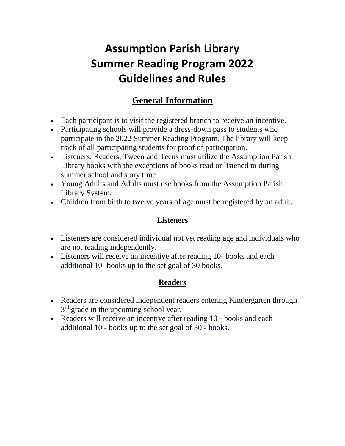# **Assumption Parish Library Summer Reading Program 2022 Guidelines and Rules**

## **General Information**

- Each participant is to visit the registered branch to receive an incentive.
- Participating schools will provide a dress-down pass to students who participate in the 2022 Summer Reading Program. The library will keep track of all participating students for proof of participation.
- Listeners, Readers, Tween and Teens must utilize the Assumption Parish Library books with the exceptions of books read or listened to during summer school and story time
- Young Adults and Adults must use books from the Assumption Parish Library System.
- Children from birth to twelve years of age must be registered by an adult.

#### **Listeners**

- Listeners are considered individual not yet reading age and individuals who are not reading independently.
- Listeners will receive an incentive after reading 10- books and each additional 10- books up to the set goal of 30 books.

#### **Readers**

- Readers are considered independent readers entering Kindergarten through 3<sup>rd</sup> grade in the upcoming school year.
- Readers will receive an incentive after reading 10 books and each additional 10 - books up to the set goal of 30 - books.